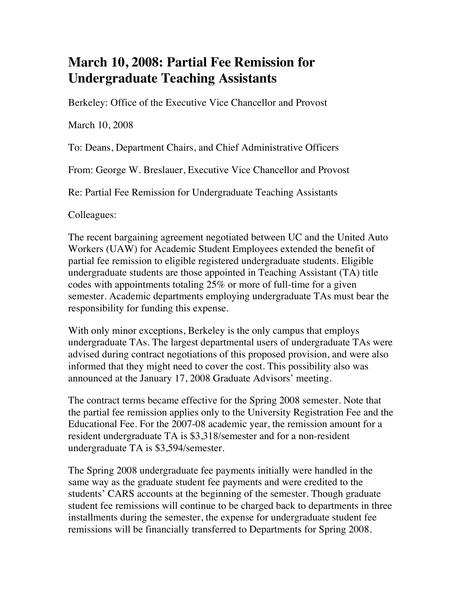## **March 10, 2008: Partial Fee Remission for Undergraduate Teaching Assistants**

Berkeley: Office of the Executive Vice Chancellor and Provost

March 10, 2008

To: Deans, Department Chairs, and Chief Administrative Officers

From: George W. Breslauer, Executive Vice Chancellor and Provost

Re: Partial Fee Remission for Undergraduate Teaching Assistants

Colleagues:

The recent bargaining agreement negotiated between UC and the United Auto Workers (UAW) for Academic Student Employees extended the benefit of partial fee remission to eligible registered undergraduate students. Eligible undergraduate students are those appointed in Teaching Assistant (TA) title codes with appointments totaling 25% or more of full-time for a given semester. Academic departments employing undergraduate TAs must bear the responsibility for funding this expense.

With only minor exceptions, Berkeley is the only campus that employs undergraduate TAs. The largest departmental users of undergraduate TAs were advised during contract negotiations of this proposed provision, and were also informed that they might need to cover the cost. This possibility also was announced at the January 17, 2008 Graduate Advisors' meeting.

The contract terms became effective for the Spring 2008 semester. Note that the partial fee remission applies only to the University Registration Fee and the Educational Fee. For the 2007-08 academic year, the remission amount for a resident undergraduate TA is \$3,318/semester and for a non-resident undergraduate TA is \$3,594/semester.

The Spring 2008 undergraduate fee payments initially were handled in the same way as the graduate student fee payments and were credited to the students' CARS accounts at the beginning of the semester. Though graduate student fee remissions will continue to be charged back to departments in three installments during the semester, the expense for undergraduate student fee remissions will be financially transferred to Departments for Spring 2008.